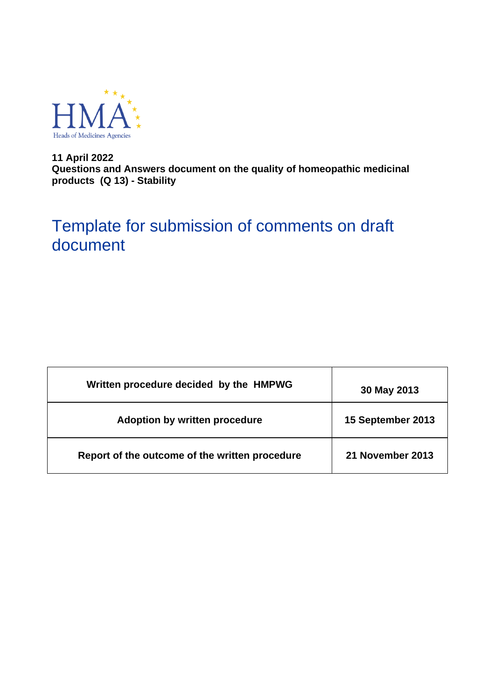

**11 April 2022 Questions and Answers document on the quality of homeopathic medicinal products (Q 13) - Stability**

# Template for submission of comments on draft document

| Written procedure decided by the HMPWG         | 30 May 2013       |
|------------------------------------------------|-------------------|
| Adoption by written procedure                  | 15 September 2013 |
| Report of the outcome of the written procedure | 21 November 2013  |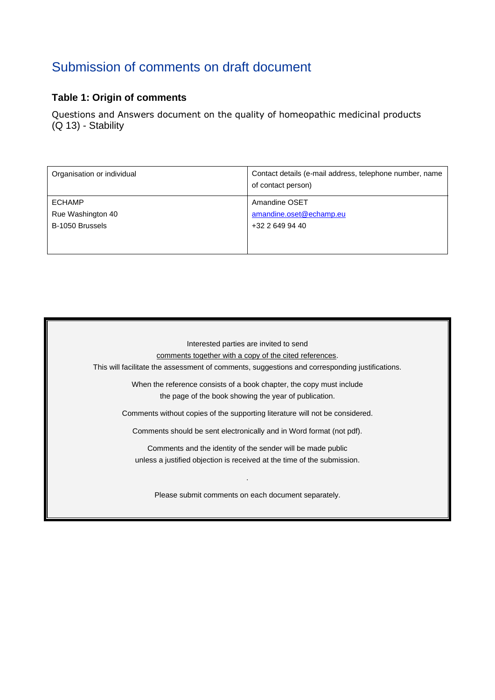# Submission of comments on draft document

### **Table 1: Origin of comments**

Questions and Answers document on the quality of homeopathic medicinal products (Q 13) - Stability

| Organisation or individual | Contact details (e-mail address, telephone number, name<br>of contact person) |
|----------------------------|-------------------------------------------------------------------------------|
| <b>ECHAMP</b>              | Amandine OSET                                                                 |
| Rue Washington 40          | amandine.oset@echamp.eu                                                       |
| B-1050 Brussels            | +32 2 649 94 40                                                               |
|                            |                                                                               |
|                            |                                                                               |

Interested parties are invited to send comments together with a copy of the cited references. This will facilitate the assessment of comments, suggestions and corresponding justifications. When the reference consists of a book chapter, the copy must include the page of the book showing the year of publication. Comments without copies of the supporting literature will not be considered. Comments should be sent electronically and in Word format (not pdf). Comments and the identity of the sender will be made public unless a justified objection is received at the time of the submission. . Please submit comments on each document separately.